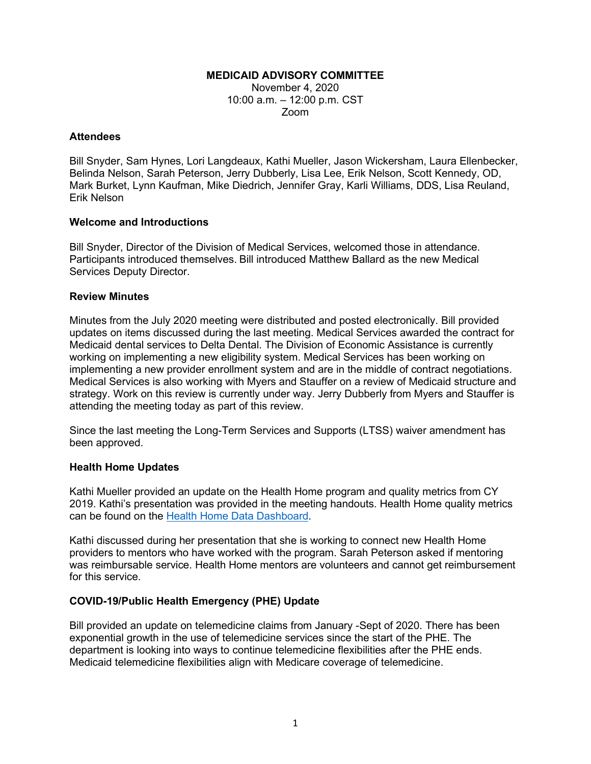## **MEDICAID ADVISORY COMMITTEE**

November 4, 2020 10:00 a.m. – 12:00 p.m. CST Zoom

## **Attendees**

Bill Snyder, Sam Hynes, Lori Langdeaux, Kathi Mueller, Jason Wickersham, Laura Ellenbecker, Belinda Nelson, Sarah Peterson, Jerry Dubberly, Lisa Lee, Erik Nelson, Scott Kennedy, OD, Mark Burket, Lynn Kaufman, Mike Diedrich, Jennifer Gray, Karli Williams, DDS, Lisa Reuland, Erik Nelson

# **Welcome and Introductions**

Bill Snyder, Director of the Division of Medical Services, welcomed those in attendance. Participants introduced themselves. Bill introduced Matthew Ballard as the new Medical Services Deputy Director.

# **Review Minutes**

Minutes from the July 2020 meeting were distributed and posted electronically. Bill provided updates on items discussed during the last meeting. Medical Services awarded the contract for Medicaid dental services to Delta Dental. The Division of Economic Assistance is currently working on implementing a new eligibility system. Medical Services has been working on implementing a new provider enrollment system and are in the middle of contract negotiations. Medical Services is also working with Myers and Stauffer on a review of Medicaid structure and strategy. Work on this review is currently under way. Jerry Dubberly from Myers and Stauffer is attending the meeting today as part of this review.

Since the last meeting the Long-Term Services and Supports (LTSS) waiver amendment has been approved.

# **Health Home Updates**

Kathi Mueller provided an update on the Health Home program and quality metrics from CY 2019. Kathi's presentation was provided in the meeting handouts. Health Home quality metrics can be found on the [Health Home Data Dashboard.](https://dss.sd.gov/healthhome/dashboard.aspx)

Kathi discussed during her presentation that she is working to connect new Health Home providers to mentors who have worked with the program. Sarah Peterson asked if mentoring was reimbursable service. Health Home mentors are volunteers and cannot get reimbursement for this service.

# **COVID-19/Public Health Emergency (PHE) Update**

Bill provided an update on telemedicine claims from January -Sept of 2020. There has been exponential growth in the use of telemedicine services since the start of the PHE. The department is looking into ways to continue telemedicine flexibilities after the PHE ends. Medicaid telemedicine flexibilities align with Medicare coverage of telemedicine.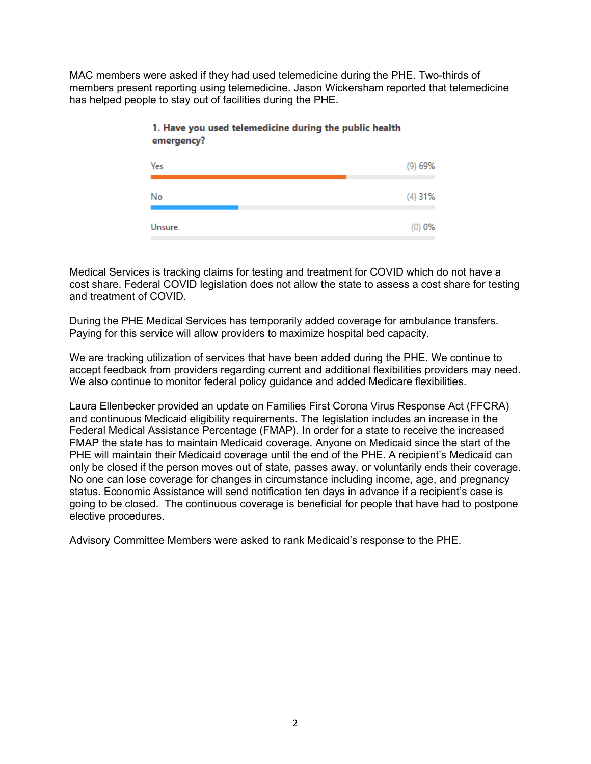MAC members were asked if they had used telemedicine during the PHE. Two-thirds of members present reporting using telemedicine. Jason Wickersham reported that telemedicine has helped people to stay out of facilities during the PHE.

| Yes    | (9)69%   |
|--------|----------|
| No     | (4) 31%  |
| Unsure | $(0)$ 0% |

# 1. Have you used telemedicine during the public health emergency?

Medical Services is tracking claims for testing and treatment for COVID which do not have a cost share. Federal COVID legislation does not allow the state to assess a cost share for testing and treatment of COVID.

During the PHE Medical Services has temporarily added coverage for ambulance transfers. Paying for this service will allow providers to maximize hospital bed capacity.

We are tracking utilization of services that have been added during the PHE. We continue to accept feedback from providers regarding current and additional flexibilities providers may need. We also continue to monitor federal policy guidance and added Medicare flexibilities.

Laura Ellenbecker provided an update on Families First Corona Virus Response Act (FFCRA) and continuous Medicaid eligibility requirements. The legislation includes an increase in the Federal Medical Assistance Percentage (FMAP). In order for a state to receive the increased FMAP the state has to maintain Medicaid coverage. Anyone on Medicaid since the start of the PHE will maintain their Medicaid coverage until the end of the PHE. A recipient's Medicaid can only be closed if the person moves out of state, passes away, or voluntarily ends their coverage. No one can lose coverage for changes in circumstance including income, age, and pregnancy status. Economic Assistance will send notification ten days in advance if a recipient's case is going to be closed. The continuous coverage is beneficial for people that have had to postpone elective procedures.

Advisory Committee Members were asked to rank Medicaid's response to the PHE.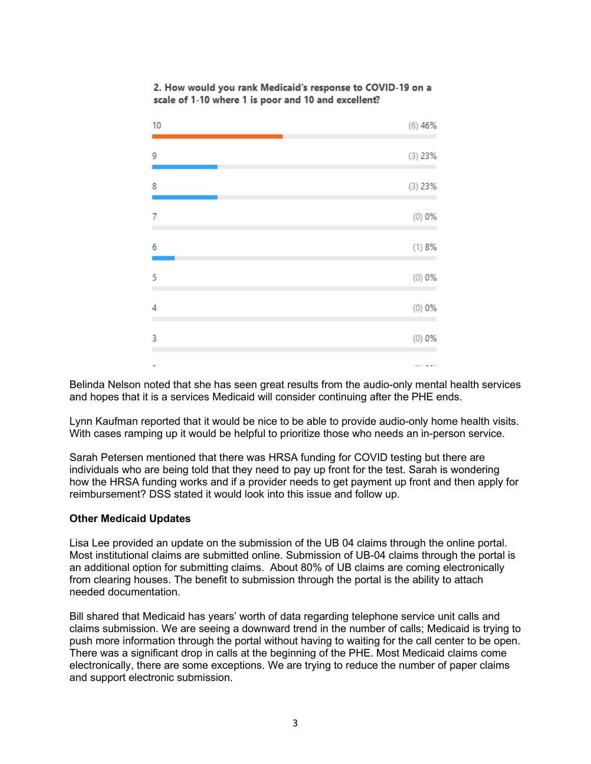| 10 | (6)46%    |
|----|-----------|
| 9  | $(3)$ 23% |
| 8  | (3) 23%   |
| 7  | $(0)$ 0%  |
| 6  | (1) 8%    |
| 5  | (0) 0%    |
| 4  | $(0)$ 0%  |
| 3  | (0) 0%    |
|    |           |

## 2. How would you rank Medicaid's response to COVID-19 on a scale of 1-10 where 1 is poor and 10 and excellent?

Belinda Nelson noted that she has seen great results from the audio-only mental health services and hopes that it is a services Medicaid will consider continuing after the PHE ends.

Lynn Kaufman reported that it would be nice to be able to provide audio-only home health visits. With cases ramping up it would be helpful to prioritize those who needs an in-person service.

Sarah Petersen mentioned that there was HRSA funding for COVID testing but there are individuals who are being told that they need to pay up front for the test. Sarah is wondering how the HRSA funding works and if a provider needs to get payment up front and then apply for reimbursement? DSS stated it would look into this issue and follow up.

## **Other Medicaid Updates**

Lisa Lee provided an update on the submission of the UB 04 claims through the online portal. Most institutional claims are submitted online. Submission of UB-04 claims through the portal is an additional option for submitting claims. About 80% of UB claims are coming electronically from clearing houses. The benefit to submission through the portal is the ability to attach needed documentation.

Bill shared that Medicaid has years' worth of data regarding telephone service unit calls and claims submission. We are seeing a downward trend in the number of calls; Medicaid is trying to push more information through the portal without having to waiting for the call center to be open. There was a significant drop in calls at the beginning of the PHE. Most Medicaid claims come electronically, there are some exceptions. We are trying to reduce the number of paper claims and support electronic submission.